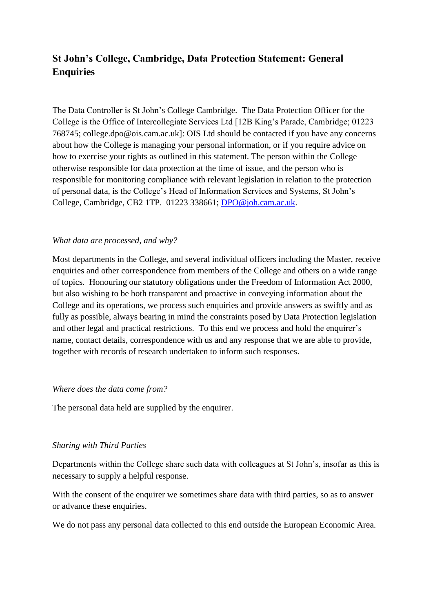# **St John's College, Cambridge, Data Protection Statement: General Enquiries**

The Data Controller is St John's College Cambridge. The Data Protection Officer for the College is the Office of Intercollegiate Services Ltd [12B King's Parade, Cambridge; 01223 768745; college.dpo@ois.cam.ac.uk]: OIS Ltd should be contacted if you have any concerns about how the College is managing your personal information, or if you require advice on how to exercise your rights as outlined in this statement. The person within the College otherwise responsible for data protection at the time of issue, and the person who is responsible for monitoring compliance with relevant legislation in relation to the protection of personal data, is the College's Head of Information Services and Systems, St John's College, Cambridge, CB2 1TP. 01223 338661; [DPO@joh.cam.ac.uk.](mailto:DPO@joh.cam.ac.uk)

## *What data are processed, and why?*

Most departments in the College, and several individual officers including the Master, receive enquiries and other correspondence from members of the College and others on a wide range of topics. Honouring our statutory obligations under the Freedom of Information Act 2000, but also wishing to be both transparent and proactive in conveying information about the College and its operations, we process such enquiries and provide answers as swiftly and as fully as possible, always bearing in mind the constraints posed by Data Protection legislation and other legal and practical restrictions. To this end we process and hold the enquirer's name, contact details, correspondence with us and any response that we are able to provide, together with records of research undertaken to inform such responses.

#### *Where does the data come from?*

The personal data held are supplied by the enquirer.

#### *Sharing with Third Parties*

Departments within the College share such data with colleagues at St John's, insofar as this is necessary to supply a helpful response.

With the consent of the enquirer we sometimes share data with third parties, so as to answer or advance these enquiries.

We do not pass any personal data collected to this end outside the European Economic Area.